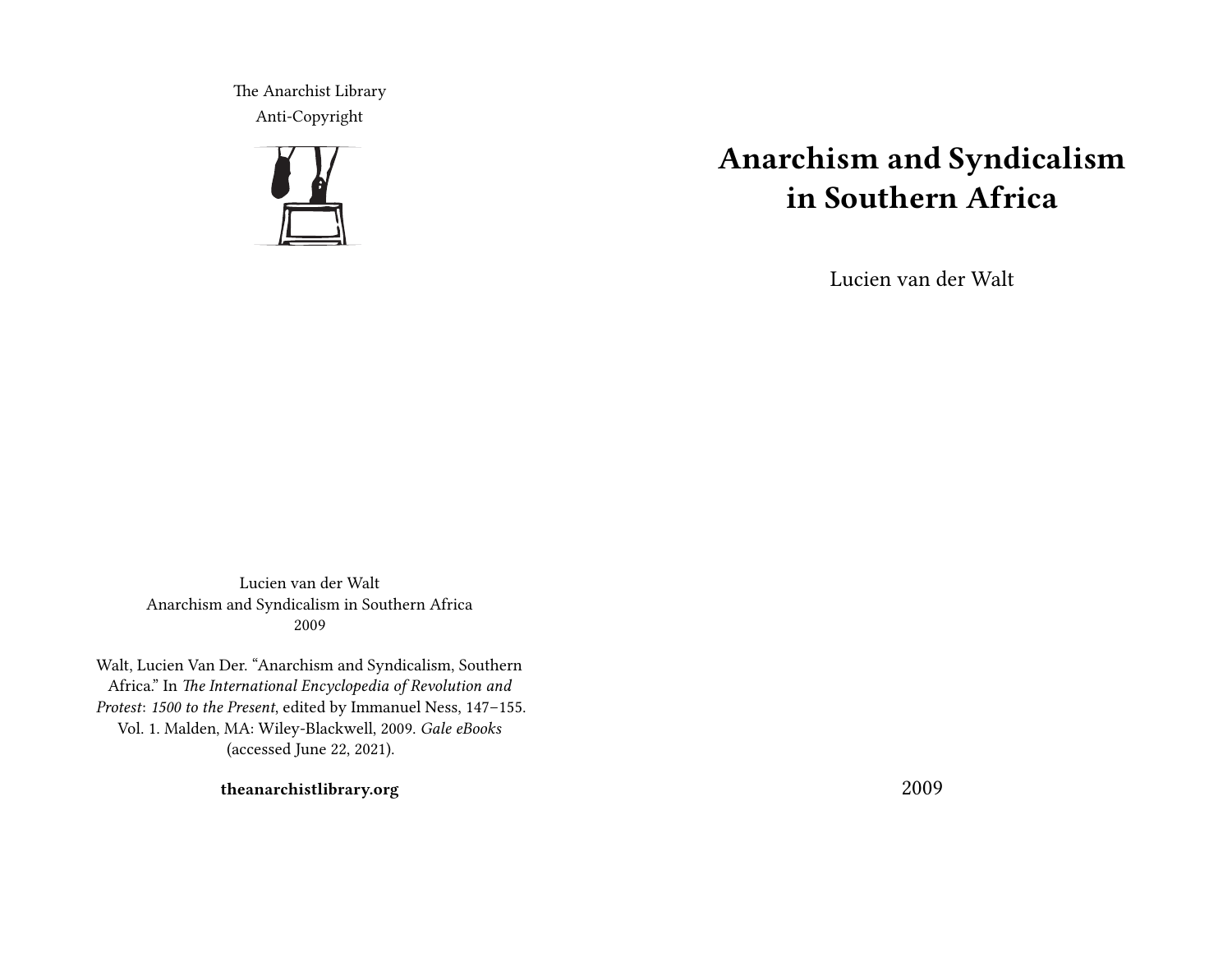The Anarchist Library Anti-Copyright



# **Anarchism and Syndicalism in Southern Africa**

Lucien van der Walt

Lucien van der Walt Anarchism and Syndicalism in Southern Africa 2009

Walt, Lucien Van Der. "Anarchism and Syndicalism, Southern Africa." In *The International Encyclopedia of Revolution and Protest*: *1500 to the Present*, edited by Immanuel Ness, 147–155. Vol. 1. Malden, MA: Wiley-Blackwell, 2009. *Gale eBooks* (accessed June 22, 2021).

**theanarchistlibrary.org**

2009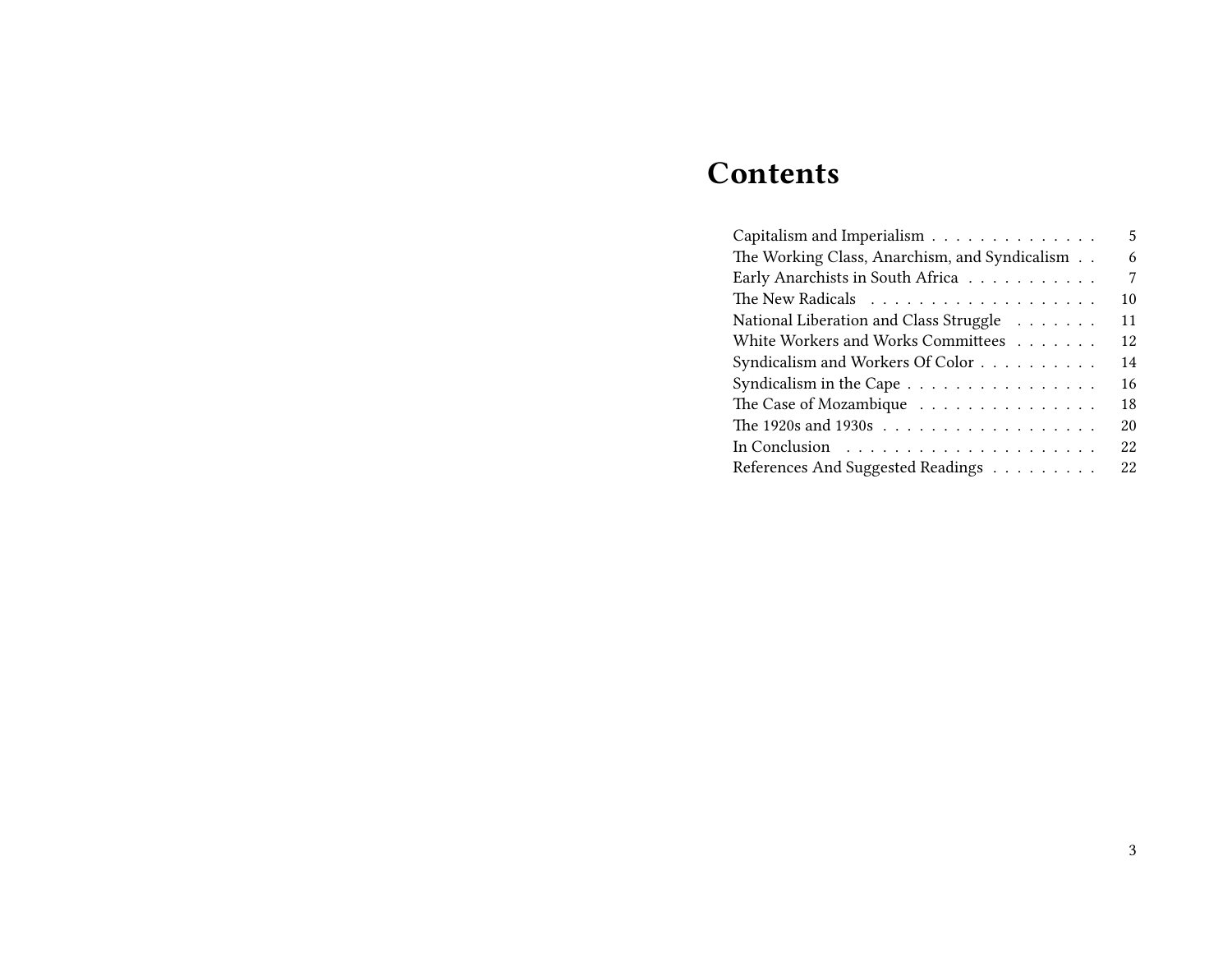# **Contents**

| Capitalism and Imperialism $\ldots \ldots \ldots \ldots \ldots$ | 5  |
|-----------------------------------------------------------------|----|
| The Working Class, Anarchism, and Syndicalism                   | 6  |
| Early Anarchists in South Africa                                | 7  |
| The New Radicals $\ldots \ldots \ldots \ldots \ldots \ldots$    | 10 |
| National Liberation and Class Struggle                          | 11 |
| White Workers and Works Committees                              | 12 |
| Syndicalism and Workers Of Color                                | 14 |
| Syndicalism in the Cape $\ldots \ldots \ldots \ldots \ldots$    | 16 |
| The Case of Mozambique $\ldots \ldots \ldots \ldots \ldots$     | 18 |
| The 1920s and 1930s $\ldots \ldots \ldots \ldots \ldots$        | 20 |
|                                                                 | 22 |
| References And Suggested Readings                               | 22 |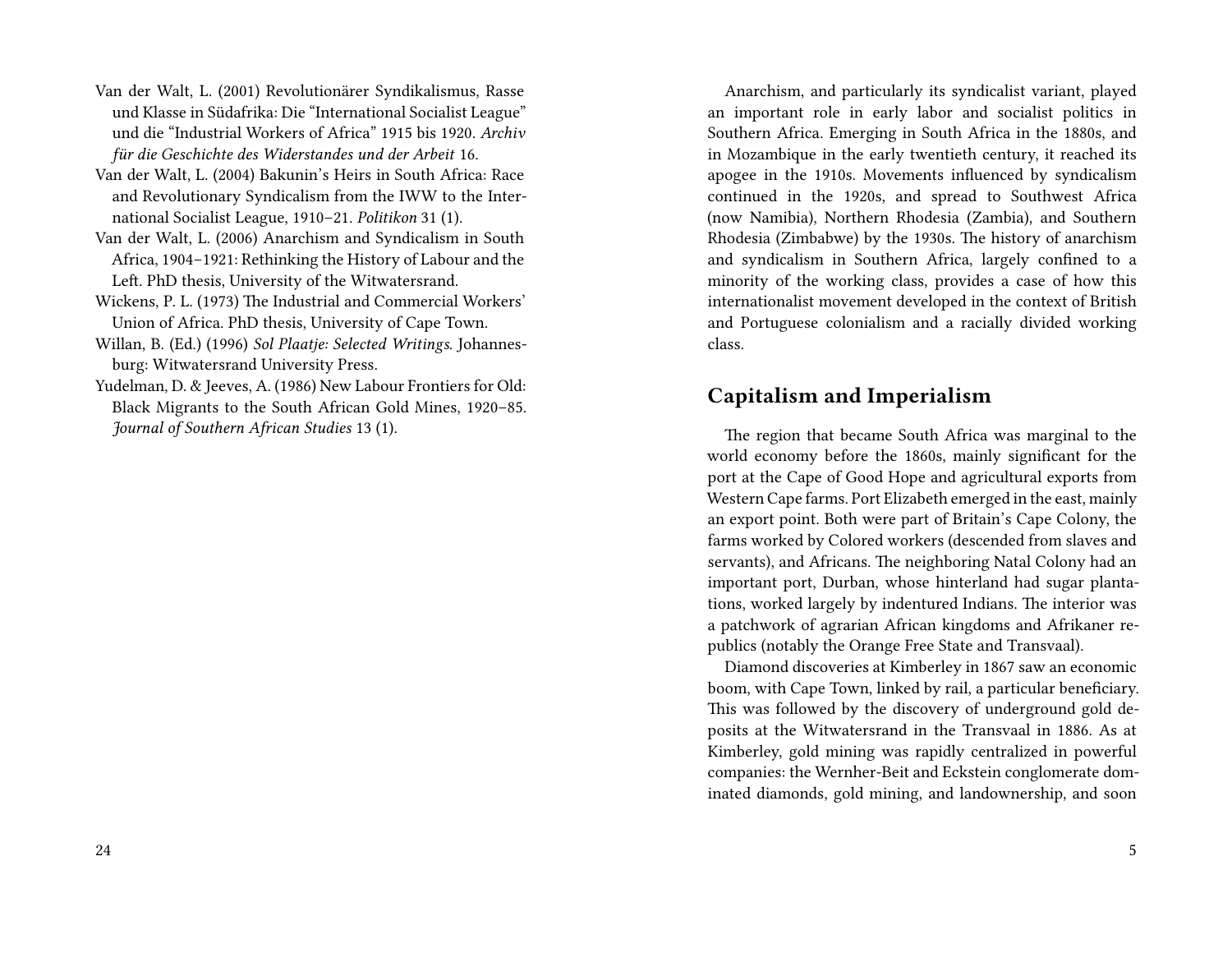- Van der Walt, L. (2001) Revolutionärer Syndikalismus, Rasse und Klasse in Südafrika: Die "International Socialist League" und die "Industrial Workers of Africa" 1915 bis 1920. *Archiv für die Geschichte des Widerstandes und der Arbeit* 16.
- Van der Walt, L. (2004) Bakunin's Heirs in South Africa: Race and Revolutionary Syndicalism from the IWW to the International Socialist League, 1910–21. *Politikon* 31 (1).
- Van der Walt, L. (2006) Anarchism and Syndicalism in South Africa, 1904–1921: Rethinking the History of Labour and the Left. PhD thesis, University of the Witwatersrand.
- Wickens, P. L. (1973) The Industrial and Commercial Workers' Union of Africa. PhD thesis, University of Cape Town.
- Willan, B. (Ed.) (1996) *Sol Plaatje: Selected Writings*. Johannesburg: Witwatersrand University Press.
- Yudelman, D. & Jeeves, A. (1986) New Labour Frontiers for Old: Black Migrants to the South African Gold Mines, 1920–85. *Journal of Southern African Studies* 13 (1).

Anarchism, and particularly its syndicalist variant, played an important role in early labor and socialist politics in Southern Africa. Emerging in South Africa in the 1880s, and in Mozambique in the early twentieth century, it reached its apogee in the 1910s. Movements influenced by syndicalism continued in the 1920s, and spread to Southwest Africa (now Namibia), Northern Rhodesia (Zambia), and Southern Rhodesia (Zimbabwe) by the 1930s. The history of anarchism and syndicalism in Southern Africa, largely confined to a minority of the working class, provides a case of how this internationalist movement developed in the context of British and Portuguese colonialism and a racially divided working class.

## **Capitalism and Imperialism**

The region that became South Africa was marginal to the world economy before the 1860s, mainly significant for the port at the Cape of Good Hope and agricultural exports from Western Cape farms. Port Elizabeth emerged in the east, mainly an export point. Both were part of Britain's Cape Colony, the farms worked by Colored workers (descended from slaves and servants), and Africans. The neighboring Natal Colony had an important port, Durban, whose hinterland had sugar plantations, worked largely by indentured Indians. The interior was a patchwork of agrarian African kingdoms and Afrikaner republics (notably the Orange Free State and Transvaal).

Diamond discoveries at Kimberley in 1867 saw an economic boom, with Cape Town, linked by rail, a particular beneficiary. This was followed by the discovery of underground gold deposits at the Witwatersrand in the Transvaal in 1886. As at Kimberley, gold mining was rapidly centralized in powerful companies: the Wernher-Beit and Eckstein conglomerate dominated diamonds, gold mining, and landownership, and soon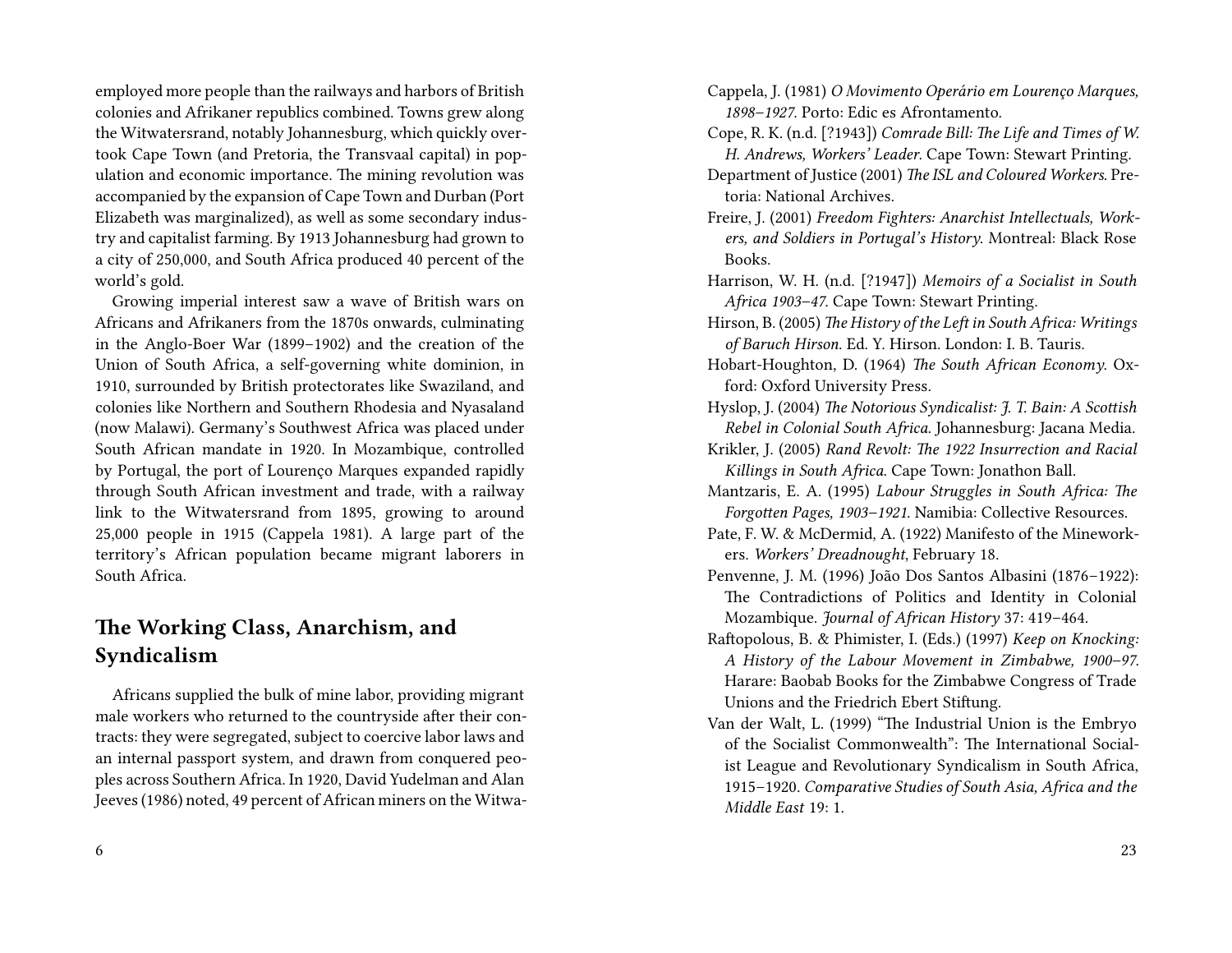employed more people than the railways and harbors of British colonies and Afrikaner republics combined. Towns grew along the Witwatersrand, notably Johannesburg, which quickly overtook Cape Town (and Pretoria, the Transvaal capital) in population and economic importance. The mining revolution was accompanied by the expansion of Cape Town and Durban (Port Elizabeth was marginalized), as well as some secondary industry and capitalist farming. By 1913 Johannesburg had grown to a city of 250,000, and South Africa produced 40 percent of the world's gold.

Growing imperial interest saw a wave of British wars on Africans and Afrikaners from the 1870s onwards, culminating in the Anglo-Boer War (1899–1902) and the creation of the Union of South Africa, a self-governing white dominion, in 1910, surrounded by British protectorates like Swaziland, and colonies like Northern and Southern Rhodesia and Nyasaland (now Malawi). Germany's Southwest Africa was placed under South African mandate in 1920. In Mozambique, controlled by Portugal, the port of Lourenço Marques expanded rapidly through South African investment and trade, with a railway link to the Witwatersrand from 1895, growing to around 25,000 people in 1915 (Cappela 1981). A large part of the territory's African population became migrant laborers in South Africa.

# **The Working Class, Anarchism, and Syndicalism**

Africans supplied the bulk of mine labor, providing migrant male workers who returned to the countryside after their contracts: they were segregated, subject to coercive labor laws and an internal passport system, and drawn from conquered peoples across Southern Africa. In 1920, David Yudelman and Alan Jeeves (1986) noted, 49 percent of African miners on the WitwaCappela, J. (1981) *O Movimento Operário em Lourenço Marques, 1898–1927*. Porto: Edic es Afrontamento.

Cope, R. K. (n.d. [?1943]) *Comrade Bill: The Life and Times of W. H. Andrews, Workers' Leader*. Cape Town: Stewart Printing.

- Department of Justice (2001) *The ISL and Coloured Workers*. Pretoria: National Archives.
- Freire, J. (2001) *Freedom Fighters: Anarchist Intellectuals, Workers, and Soldiers in Portugal's History*. Montreal: Black Rose Books.
- Harrison, W. H. (n.d. [?1947]) *Memoirs of a Socialist in South Africa 1903–47*. Cape Town: Stewart Printing.
- Hirson, B. (2005) *The History of the Left in South Africa: Writings of Baruch Hirson*. Ed. Y. Hirson. London: I. B. Tauris.
- Hobart-Houghton, D. (1964) *The South African Economy*. Oxford: Oxford University Press.
- Hyslop, J. (2004) *The Notorious Syndicalist: J. T. Bain: A Scottish Rebel in Colonial South Africa*. Johannesburg: Jacana Media.
- Krikler, J. (2005) *Rand Revolt: The 1922 Insurrection and Racial Killings in South Africa*. Cape Town: Jonathon Ball.
- Mantzaris, E. A. (1995) *Labour Struggles in South Africa: The Forgotten Pages, 1903–1921*. Namibia: Collective Resources.
- Pate, F. W. & McDermid, A. (1922) Manifesto of the Mineworkers. *Workers' Dreadnought*, February 18.
- Penvenne, J. M. (1996) João Dos Santos Albasini (1876–1922): The Contradictions of Politics and Identity in Colonial Mozambique. *Journal of African History* 37: 419–464.
- Raftopolous, B. & Phimister, I. (Eds.) (1997) *Keep on Knocking: A History of the Labour Movement in Zimbabwe, 1900–97*. Harare: Baobab Books for the Zimbabwe Congress of Trade Unions and the Friedrich Ebert Stiftung.
- Van der Walt, L. (1999) "The Industrial Union is the Embryo of the Socialist Commonwealth": The International Socialist League and Revolutionary Syndicalism in South Africa, 1915–1920. *Comparative Studies of South Asia, Africa and the Middle East* 19: 1.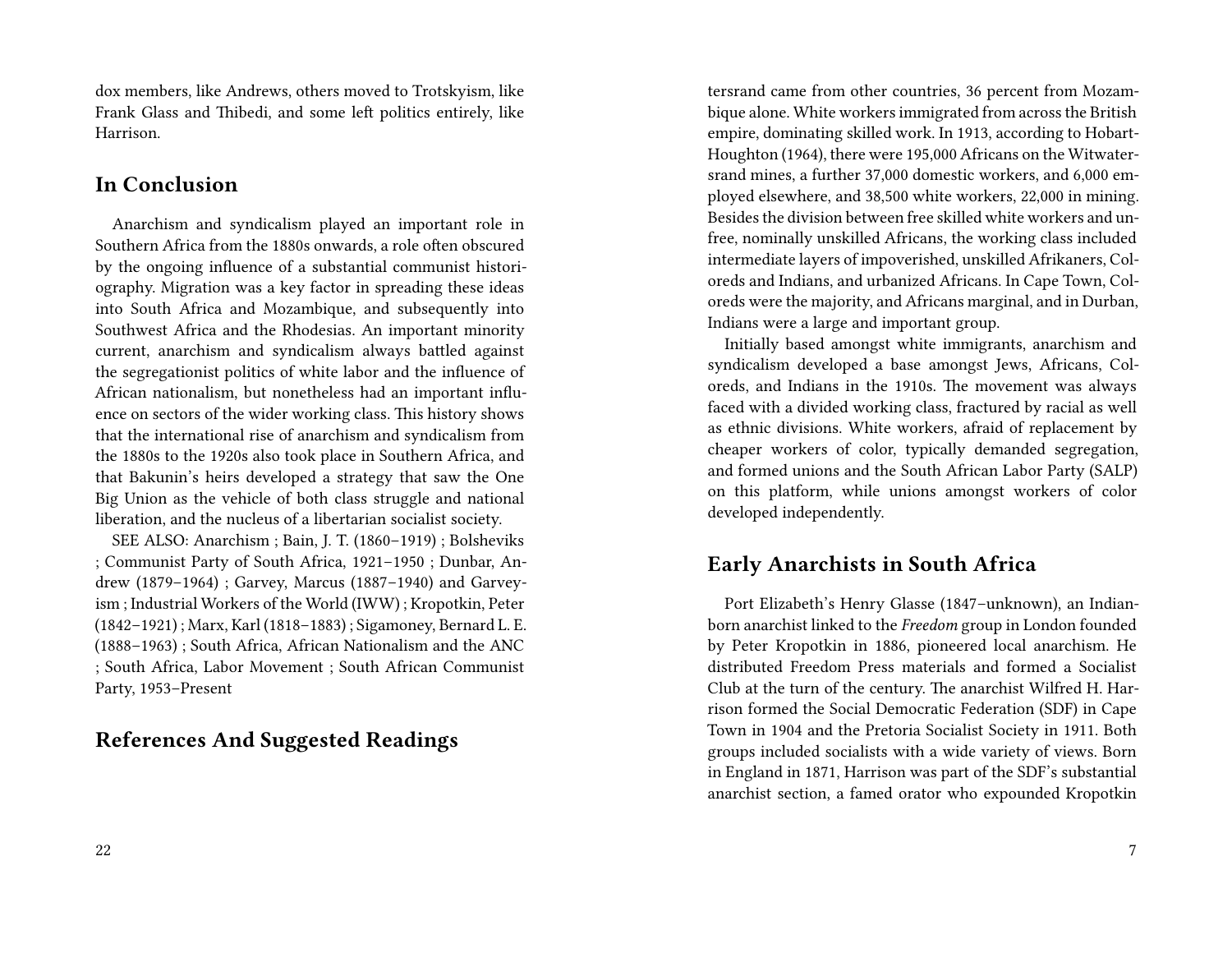dox members, like Andrews, others moved to Trotskyism, like Frank Glass and Thibedi, and some left politics entirely, like Harrison.

## **In Conclusion**

Anarchism and syndicalism played an important role in Southern Africa from the 1880s onwards, a role often obscured by the ongoing influence of a substantial communist historiography. Migration was a key factor in spreading these ideas into South Africa and Mozambique, and subsequently into Southwest Africa and the Rhodesias. An important minority current, anarchism and syndicalism always battled against the segregationist politics of white labor and the influence of African nationalism, but nonetheless had an important influence on sectors of the wider working class. This history shows that the international rise of anarchism and syndicalism from the 1880s to the 1920s also took place in Southern Africa, and that Bakunin's heirs developed a strategy that saw the One Big Union as the vehicle of both class struggle and national liberation, and the nucleus of a libertarian socialist society.

SEE ALSO: Anarchism ; Bain, J. T. (1860–1919) ; Bolsheviks ; Communist Party of South Africa, 1921–1950 ; Dunbar, Andrew (1879–1964) ; Garvey, Marcus (1887–1940) and Garveyism ; Industrial Workers of the World (IWW) ; Kropotkin, Peter (1842–1921) ; Marx, Karl (1818–1883) ; Sigamoney, Bernard L. E. (1888–1963) ; South Africa, African Nationalism and the ANC ; South Africa, Labor Movement ; South African Communist Party, 1953–Present

## **References And Suggested Readings**

tersrand came from other countries, 36 percent from Mozambique alone. White workers immigrated from across the British empire, dominating skilled work. In 1913, according to Hobart-Houghton (1964), there were 195,000 Africans on the Witwatersrand mines, a further 37,000 domestic workers, and 6,000 employed elsewhere, and 38,500 white workers, 22,000 in mining. Besides the division between free skilled white workers and unfree, nominally unskilled Africans, the working class included intermediate layers of impoverished, unskilled Afrikaners, Coloreds and Indians, and urbanized Africans. In Cape Town, Coloreds were the majority, and Africans marginal, and in Durban, Indians were a large and important group.

Initially based amongst white immigrants, anarchism and syndicalism developed a base amongst Jews, Africans, Coloreds, and Indians in the 1910s. The movement was always faced with a divided working class, fractured by racial as well as ethnic divisions. White workers, afraid of replacement by cheaper workers of color, typically demanded segregation, and formed unions and the South African Labor Party (SALP) on this platform, while unions amongst workers of color developed independently.

## **Early Anarchists in South Africa**

Port Elizabeth's Henry Glasse (1847–unknown), an Indianborn anarchist linked to the *Freedom* group in London founded by Peter Kropotkin in 1886, pioneered local anarchism. He distributed Freedom Press materials and formed a Socialist Club at the turn of the century. The anarchist Wilfred H. Harrison formed the Social Democratic Federation (SDF) in Cape Town in 1904 and the Pretoria Socialist Society in 1911. Both groups included socialists with a wide variety of views. Born in England in 1871, Harrison was part of the SDF's substantial anarchist section, a famed orator who expounded Kropotkin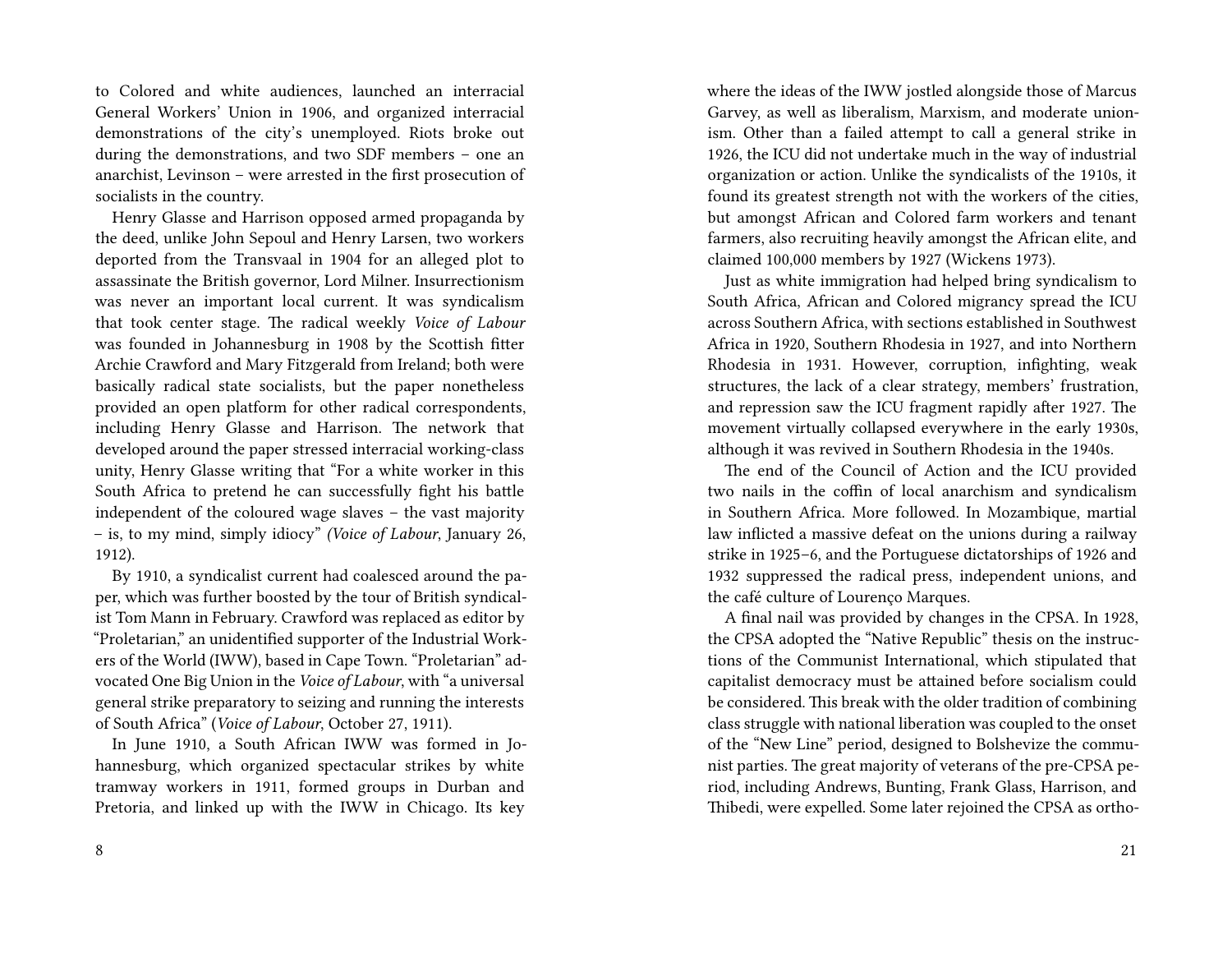to Colored and white audiences, launched an interracial General Workers' Union in 1906, and organized interracial demonstrations of the city's unemployed. Riots broke out during the demonstrations, and two SDF members – one an anarchist, Levinson – were arrested in the first prosecution of socialists in the country.

Henry Glasse and Harrison opposed armed propaganda by the deed, unlike John Sepoul and Henry Larsen, two workers deported from the Transvaal in 1904 for an alleged plot to assassinate the British governor, Lord Milner. Insurrectionism was never an important local current. It was syndicalism that took center stage. The radical weekly *Voice of Labour* was founded in Johannesburg in 1908 by the Scottish fitter Archie Crawford and Mary Fitzgerald from Ireland; both were basically radical state socialists, but the paper nonetheless provided an open platform for other radical correspondents, including Henry Glasse and Harrison. The network that developed around the paper stressed interracial working-class unity, Henry Glasse writing that "For a white worker in this South Africa to pretend he can successfully fight his battle independent of the coloured wage slaves – the vast majority – is, to my mind, simply idiocy" *(Voice of Labour*, January 26, 1912).

By 1910, a syndicalist current had coalesced around the paper, which was further boosted by the tour of British syndicalist Tom Mann in February. Crawford was replaced as editor by "Proletarian," an unidentified supporter of the Industrial Workers of the World (IWW), based in Cape Town. "Proletarian" advocated One Big Union in the *Voice of Labour*, with "a universal general strike preparatory to seizing and running the interests of South Africa" (*Voice of Labour*, October 27, 1911).

In June 1910, a South African IWW was formed in Johannesburg, which organized spectacular strikes by white tramway workers in 1911, formed groups in Durban and Pretoria, and linked up with the IWW in Chicago. Its key

where the ideas of the IWW jostled alongside those of Marcus Garvey, as well as liberalism, Marxism, and moderate unionism. Other than a failed attempt to call a general strike in 1926, the ICU did not undertake much in the way of industrial organization or action. Unlike the syndicalists of the 1910s, it found its greatest strength not with the workers of the cities, but amongst African and Colored farm workers and tenant farmers, also recruiting heavily amongst the African elite, and claimed 100,000 members by 1927 (Wickens 1973).

Just as white immigration had helped bring syndicalism to South Africa, African and Colored migrancy spread the ICU across Southern Africa, with sections established in Southwest Africa in 1920, Southern Rhodesia in 1927, and into Northern Rhodesia in 1931. However, corruption, infighting, weak structures, the lack of a clear strategy, members' frustration, and repression saw the ICU fragment rapidly after 1927. The movement virtually collapsed everywhere in the early 1930s, although it was revived in Southern Rhodesia in the 1940s.

The end of the Council of Action and the ICU provided two nails in the coffin of local anarchism and syndicalism in Southern Africa. More followed. In Mozambique, martial law inflicted a massive defeat on the unions during a railway strike in 1925–6, and the Portuguese dictatorships of 1926 and 1932 suppressed the radical press, independent unions, and the café culture of Lourenço Marques.

A final nail was provided by changes in the CPSA. In 1928, the CPSA adopted the "Native Republic" thesis on the instructions of the Communist International, which stipulated that capitalist democracy must be attained before socialism could be considered. This break with the older tradition of combining class struggle with national liberation was coupled to the onset of the "New Line" period, designed to Bolshevize the communist parties. The great majority of veterans of the pre-CPSA period, including Andrews, Bunting, Frank Glass, Harrison, and Thibedi, were expelled. Some later rejoined the CPSA as ortho-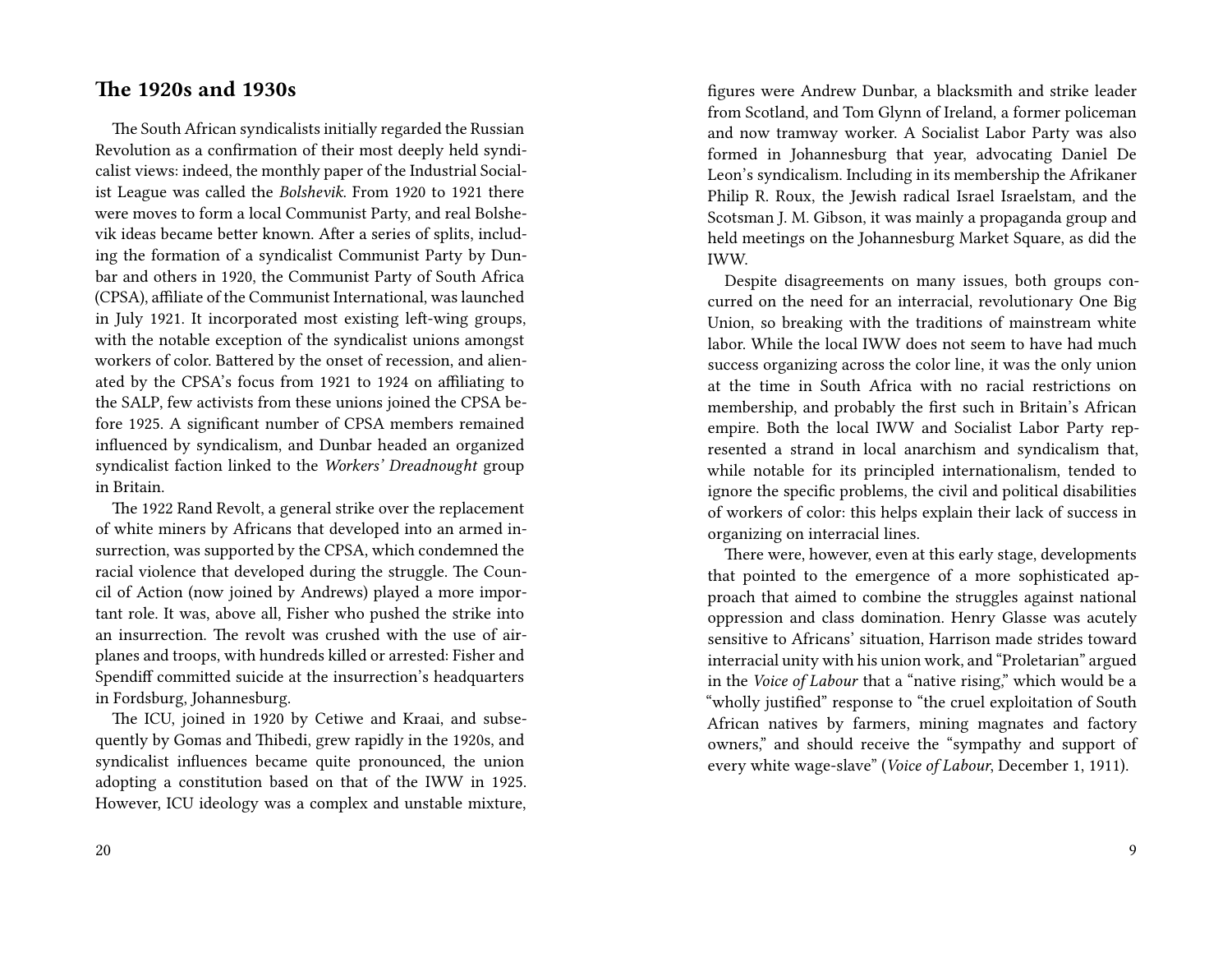#### **The 1920s and 1930s**

The South African syndicalists initially regarded the Russian Revolution as a confirmation of their most deeply held syndicalist views: indeed, the monthly paper of the Industrial Socialist League was called the *Bolshevik*. From 1920 to 1921 there were moves to form a local Communist Party, and real Bolshevik ideas became better known. After a series of splits, including the formation of a syndicalist Communist Party by Dunbar and others in 1920, the Communist Party of South Africa (CPSA), affiliate of the Communist International, was launched in July 1921. It incorporated most existing left-wing groups, with the notable exception of the syndicalist unions amongst workers of color. Battered by the onset of recession, and alienated by the CPSA's focus from 1921 to 1924 on affiliating to the SALP, few activists from these unions joined the CPSA before 1925. A significant number of CPSA members remained influenced by syndicalism, and Dunbar headed an organized syndicalist faction linked to the *Workers' Dreadnought* group in Britain.

The 1922 Rand Revolt, a general strike over the replacement of white miners by Africans that developed into an armed insurrection, was supported by the CPSA, which condemned the racial violence that developed during the struggle. The Council of Action (now joined by Andrews) played a more important role. It was, above all, Fisher who pushed the strike into an insurrection. The revolt was crushed with the use of airplanes and troops, with hundreds killed or arrested: Fisher and Spendiff committed suicide at the insurrection's headquarters in Fordsburg, Johannesburg.

The ICU, joined in 1920 by Cetiwe and Kraai, and subsequently by Gomas and Thibedi, grew rapidly in the 1920s, and syndicalist influences became quite pronounced, the union adopting a constitution based on that of the IWW in 1925. However, ICU ideology was a complex and unstable mixture, figures were Andrew Dunbar, a blacksmith and strike leader from Scotland, and Tom Glynn of Ireland, a former policeman and now tramway worker. A Socialist Labor Party was also formed in Johannesburg that year, advocating Daniel De Leon's syndicalism. Including in its membership the Afrikaner Philip R. Roux, the Jewish radical Israel Israelstam, and the Scotsman J. M. Gibson, it was mainly a propaganda group and held meetings on the Johannesburg Market Square, as did the IWW.

Despite disagreements on many issues, both groups concurred on the need for an interracial, revolutionary One Big Union, so breaking with the traditions of mainstream white labor. While the local IWW does not seem to have had much success organizing across the color line, it was the only union at the time in South Africa with no racial restrictions on membership, and probably the first such in Britain's African empire. Both the local IWW and Socialist Labor Party represented a strand in local anarchism and syndicalism that, while notable for its principled internationalism, tended to ignore the specific problems, the civil and political disabilities of workers of color: this helps explain their lack of success in organizing on interracial lines.

There were, however, even at this early stage, developments that pointed to the emergence of a more sophisticated approach that aimed to combine the struggles against national oppression and class domination. Henry Glasse was acutely sensitive to Africans' situation, Harrison made strides toward interracial unity with his union work, and "Proletarian" argued in the *Voice of Labour* that a "native rising," which would be a "wholly justified" response to "the cruel exploitation of South African natives by farmers, mining magnates and factory owners," and should receive the "sympathy and support of every white wage-slave" (*Voice of Labour*, December 1, 1911).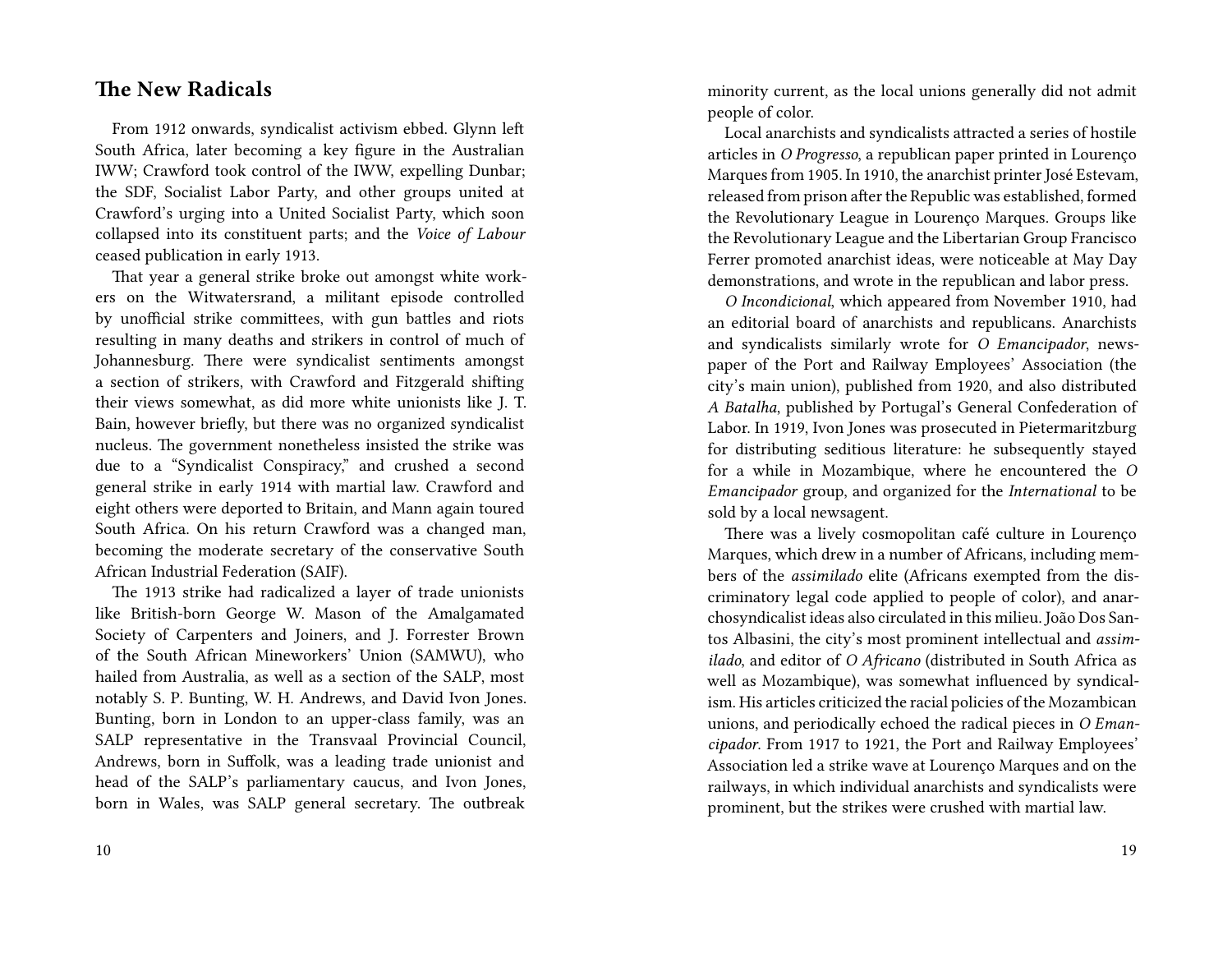## **The New Radicals**

From 1912 onwards, syndicalist activism ebbed. Glynn left South Africa, later becoming a key figure in the Australian IWW; Crawford took control of the IWW, expelling Dunbar; the SDF, Socialist Labor Party, and other groups united at Crawford's urging into a United Socialist Party, which soon collapsed into its constituent parts; and the *Voice of Labour* ceased publication in early 1913.

That year a general strike broke out amongst white workers on the Witwatersrand, a militant episode controlled by unofficial strike committees, with gun battles and riots resulting in many deaths and strikers in control of much of Johannesburg. There were syndicalist sentiments amongst a section of strikers, with Crawford and Fitzgerald shifting their views somewhat, as did more white unionists like J. T. Bain, however briefly, but there was no organized syndicalist nucleus. The government nonetheless insisted the strike was due to a "Syndicalist Conspiracy," and crushed a second general strike in early 1914 with martial law. Crawford and eight others were deported to Britain, and Mann again toured South Africa. On his return Crawford was a changed man, becoming the moderate secretary of the conservative South African Industrial Federation (SAIF).

The 1913 strike had radicalized a layer of trade unionists like British-born George W. Mason of the Amalgamated Society of Carpenters and Joiners, and J. Forrester Brown of the South African Mineworkers' Union (SAMWU), who hailed from Australia, as well as a section of the SALP, most notably S. P. Bunting, W. H. Andrews, and David Ivon Jones. Bunting, born in London to an upper-class family, was an SALP representative in the Transvaal Provincial Council, Andrews, born in Suffolk, was a leading trade unionist and head of the SALP's parliamentary caucus, and Ivon Jones, born in Wales, was SALP general secretary. The outbreak

10

minority current, as the local unions generally did not admit people of color.

Local anarchists and syndicalists attracted a series of hostile articles in *O Progresso*, a republican paper printed in Lourenço Marques from 1905. In 1910, the anarchist printer José Estevam, released from prison after the Republic was established, formed the Revolutionary League in Lourenço Marques. Groups like the Revolutionary League and the Libertarian Group Francisco Ferrer promoted anarchist ideas, were noticeable at May Day demonstrations, and wrote in the republican and labor press.

*O Incondicional*, which appeared from November 1910, had an editorial board of anarchists and republicans. Anarchists and syndicalists similarly wrote for *O Emancipador*, newspaper of the Port and Railway Employees' Association (the city's main union), published from 1920, and also distributed *A Batalha*, published by Portugal's General Confederation of Labor. In 1919, Ivon Jones was prosecuted in Pietermaritzburg for distributing seditious literature: he subsequently stayed for a while in Mozambique, where he encountered the *O Emancipador* group, and organized for the *International* to be sold by a local newsagent.

There was a lively cosmopolitan café culture in Lourenço Marques, which drew in a number of Africans, including members of the *assimilado* elite (Africans exempted from the discriminatory legal code applied to people of color), and anarchosyndicalist ideas also circulated in this milieu. João Dos Santos Albasini, the city's most prominent intellectual and *assimilado*, and editor of *O Africano* (distributed in South Africa as well as Mozambique), was somewhat influenced by syndicalism. His articles criticized the racial policies of the Mozambican unions, and periodically echoed the radical pieces in *O Emancipador*. From 1917 to 1921, the Port and Railway Employees' Association led a strike wave at Lourenço Marques and on the railways, in which individual anarchists and syndicalists were prominent, but the strikes were crushed with martial law.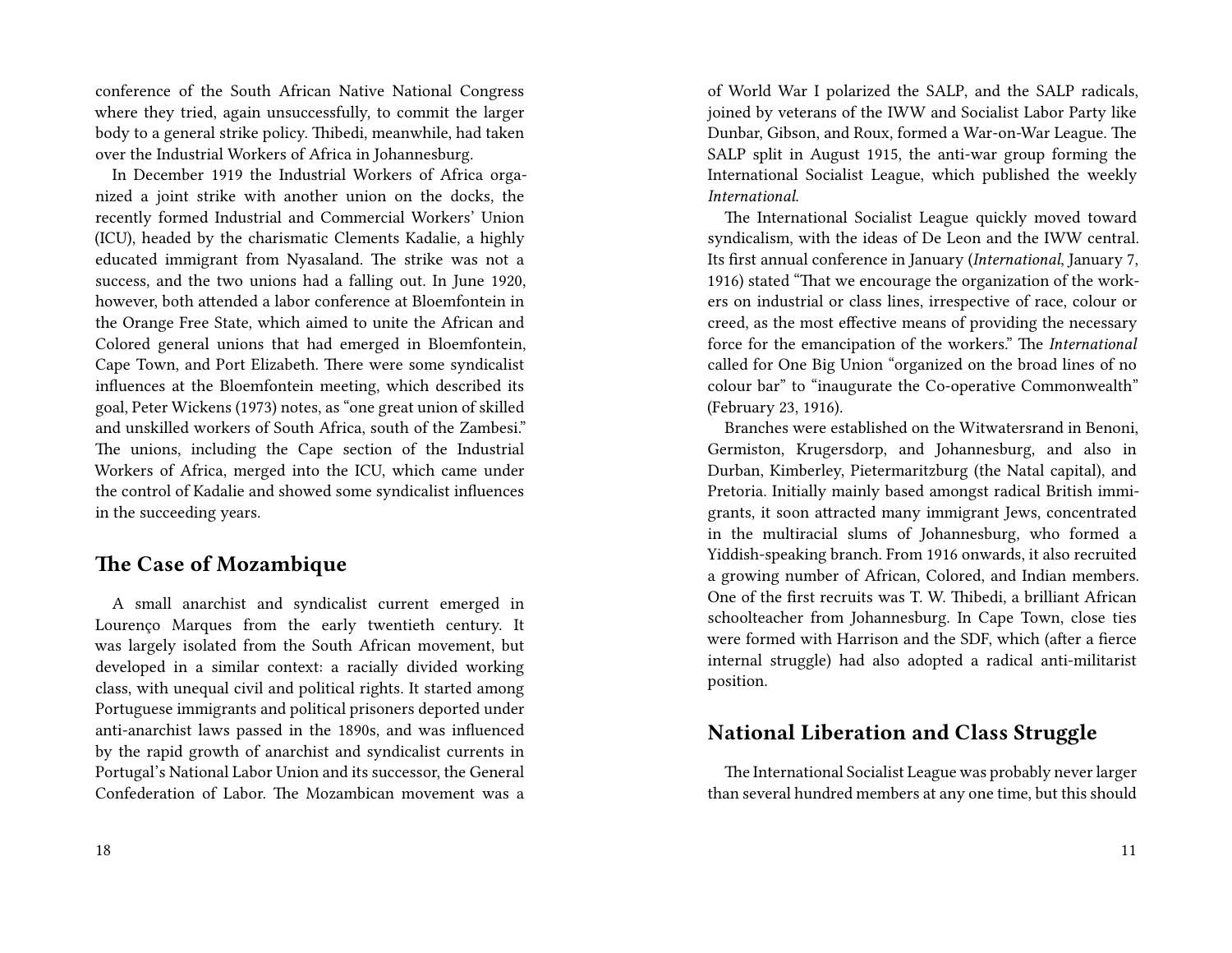conference of the South African Native National Congress where they tried, again unsuccessfully, to commit the larger body to a general strike policy. Thibedi, meanwhile, had taken over the Industrial Workers of Africa in Johannesburg.

In December 1919 the Industrial Workers of Africa organized a joint strike with another union on the docks, the recently formed Industrial and Commercial Workers' Union (ICU), headed by the charismatic Clements Kadalie, a highly educated immigrant from Nyasaland. The strike was not a success, and the two unions had a falling out. In June 1920, however, both attended a labor conference at Bloemfontein in the Orange Free State, which aimed to unite the African and Colored general unions that had emerged in Bloemfontein, Cape Town, and Port Elizabeth. There were some syndicalist influences at the Bloemfontein meeting, which described its goal, Peter Wickens (1973) notes, as "one great union of skilled and unskilled workers of South Africa, south of the Zambesi." The unions, including the Cape section of the Industrial Workers of Africa, merged into the ICU, which came under the control of Kadalie and showed some syndicalist influences in the succeeding years.

## **The Case of Mozambique**

A small anarchist and syndicalist current emerged in Lourenço Marques from the early twentieth century. It was largely isolated from the South African movement, but developed in a similar context: a racially divided working class, with unequal civil and political rights. It started among Portuguese immigrants and political prisoners deported under anti-anarchist laws passed in the 1890s, and was influenced by the rapid growth of anarchist and syndicalist currents in Portugal's National Labor Union and its successor, the General Confederation of Labor. The Mozambican movement was a of World War I polarized the SALP, and the SALP radicals, joined by veterans of the IWW and Socialist Labor Party like Dunbar, Gibson, and Roux, formed a War-on-War League. The SALP split in August 1915, the anti-war group forming the International Socialist League, which published the weekly *International*.

The International Socialist League quickly moved toward syndicalism, with the ideas of De Leon and the IWW central. Its first annual conference in January (*International*, January 7, 1916) stated "That we encourage the organization of the workers on industrial or class lines, irrespective of race, colour or creed, as the most effective means of providing the necessary force for the emancipation of the workers." The *International* called for One Big Union "organized on the broad lines of no colour bar" to "inaugurate the Co-operative Commonwealth" (February 23, 1916).

Branches were established on the Witwatersrand in Benoni, Germiston, Krugersdorp, and Johannesburg, and also in Durban, Kimberley, Pietermaritzburg (the Natal capital), and Pretoria. Initially mainly based amongst radical British immigrants, it soon attracted many immigrant Jews, concentrated in the multiracial slums of Johannesburg, who formed a Yiddish-speaking branch. From 1916 onwards, it also recruited a growing number of African, Colored, and Indian members. One of the first recruits was T. W. Thibedi, a brilliant African schoolteacher from Johannesburg. In Cape Town, close ties were formed with Harrison and the SDF, which (after a fierce internal struggle) had also adopted a radical anti-militarist position.

## **National Liberation and Class Struggle**

The International Socialist League was probably never larger than several hundred members at any one time, but this should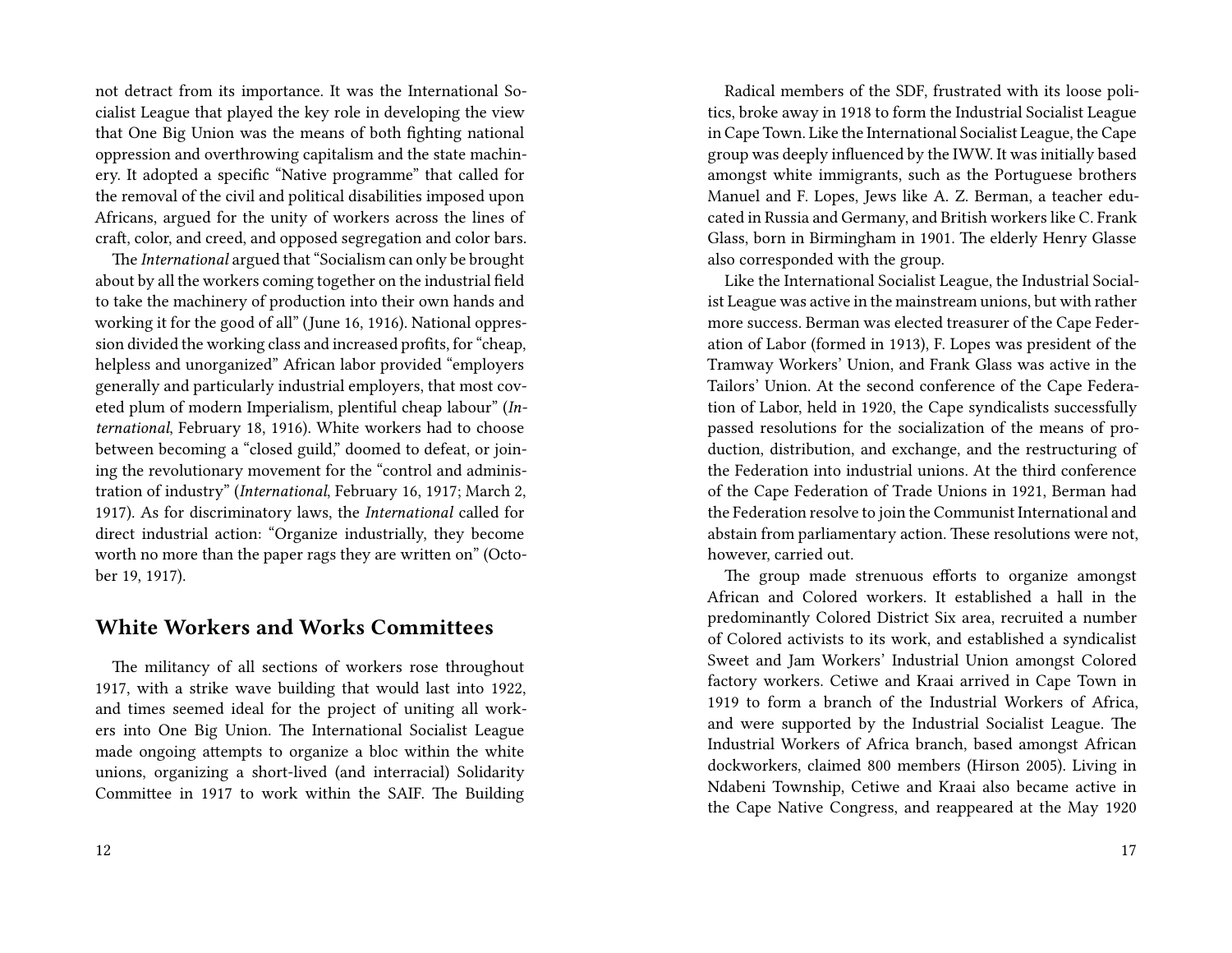not detract from its importance. It was the International Socialist League that played the key role in developing the view that One Big Union was the means of both fighting national oppression and overthrowing capitalism and the state machinery. It adopted a specific "Native programme" that called for the removal of the civil and political disabilities imposed upon Africans, argued for the unity of workers across the lines of craft, color, and creed, and opposed segregation and color bars.

The *International* argued that "Socialism can only be brought about by all the workers coming together on the industrial field to take the machinery of production into their own hands and working it for the good of all" (June 16, 1916). National oppression divided the working class and increased profits, for "cheap, helpless and unorganized" African labor provided "employers generally and particularly industrial employers, that most coveted plum of modern Imperialism, plentiful cheap labour" (*International*, February 18, 1916). White workers had to choose between becoming a "closed guild," doomed to defeat, or joining the revolutionary movement for the "control and administration of industry" (*International*, February 16, 1917; March 2, 1917). As for discriminatory laws, the *International* called for direct industrial action: "Organize industrially, they become worth no more than the paper rags they are written on" (October 19, 1917).

### **White Workers and Works Committees**

The militancy of all sections of workers rose throughout 1917, with a strike wave building that would last into 1922, and times seemed ideal for the project of uniting all workers into One Big Union. The International Socialist League made ongoing attempts to organize a bloc within the white unions, organizing a short-lived (and interracial) Solidarity Committee in 1917 to work within the SAIF. The Building

Radical members of the SDF, frustrated with its loose politics, broke away in 1918 to form the Industrial Socialist League in Cape Town. Like the International Socialist League, the Cape group was deeply influenced by the IWW. It was initially based amongst white immigrants, such as the Portuguese brothers Manuel and F. Lopes, Jews like A. Z. Berman, a teacher educated in Russia and Germany, and British workers like C. Frank Glass, born in Birmingham in 1901. The elderly Henry Glasse also corresponded with the group.

Like the International Socialist League, the Industrial Socialist League was active in the mainstream unions, but with rather more success. Berman was elected treasurer of the Cape Federation of Labor (formed in 1913), F. Lopes was president of the Tramway Workers' Union, and Frank Glass was active in the Tailors' Union. At the second conference of the Cape Federation of Labor, held in 1920, the Cape syndicalists successfully passed resolutions for the socialization of the means of production, distribution, and exchange, and the restructuring of the Federation into industrial unions. At the third conference of the Cape Federation of Trade Unions in 1921, Berman had the Federation resolve to join the Communist International and abstain from parliamentary action. These resolutions were not, however, carried out.

The group made strenuous efforts to organize amongst African and Colored workers. It established a hall in the predominantly Colored District Six area, recruited a number of Colored activists to its work, and established a syndicalist Sweet and Jam Workers' Industrial Union amongst Colored factory workers. Cetiwe and Kraai arrived in Cape Town in 1919 to form a branch of the Industrial Workers of Africa, and were supported by the Industrial Socialist League. The Industrial Workers of Africa branch, based amongst African dockworkers, claimed 800 members (Hirson 2005). Living in Ndabeni Township, Cetiwe and Kraai also became active in the Cape Native Congress, and reappeared at the May 1920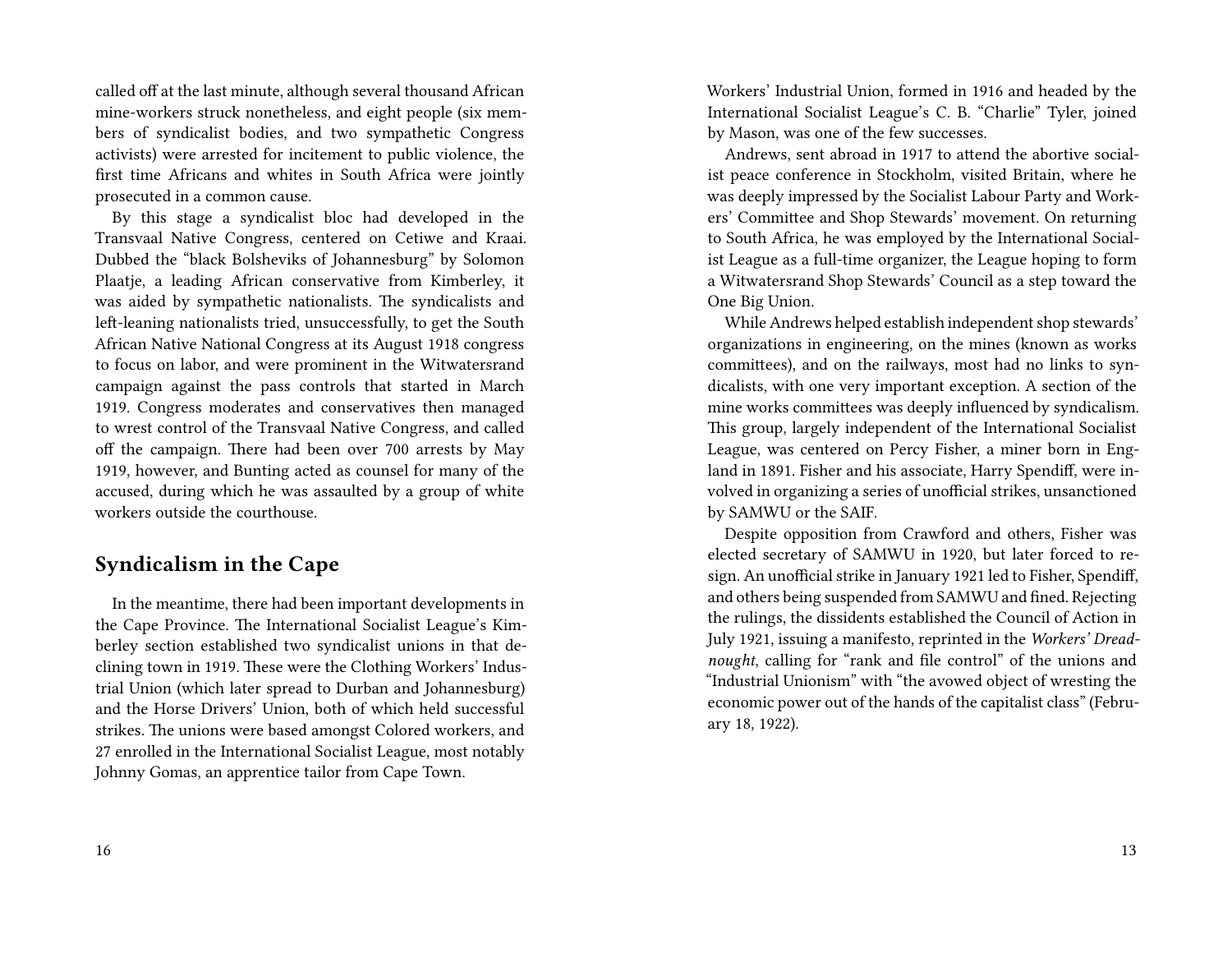called off at the last minute, although several thousand African mine-workers struck nonetheless, and eight people (six members of syndicalist bodies, and two sympathetic Congress activists) were arrested for incitement to public violence, the first time Africans and whites in South Africa were jointly prosecuted in a common cause.

By this stage a syndicalist bloc had developed in the Transvaal Native Congress, centered on Cetiwe and Kraai. Dubbed the "black Bolsheviks of Johannesburg" by Solomon Plaatje, a leading African conservative from Kimberley, it was aided by sympathetic nationalists. The syndicalists and left-leaning nationalists tried, unsuccessfully, to get the South African Native National Congress at its August 1918 congress to focus on labor, and were prominent in the Witwatersrand campaign against the pass controls that started in March 1919. Congress moderates and conservatives then managed to wrest control of the Transvaal Native Congress, and called off the campaign. There had been over 700 arrests by May 1919, however, and Bunting acted as counsel for many of the accused, during which he was assaulted by a group of white workers outside the courthouse.

## **Syndicalism in the Cape**

In the meantime, there had been important developments in the Cape Province. The International Socialist League's Kimberley section established two syndicalist unions in that declining town in 1919. These were the Clothing Workers' Industrial Union (which later spread to Durban and Johannesburg) and the Horse Drivers' Union, both of which held successful strikes. The unions were based amongst Colored workers, and 27 enrolled in the International Socialist League, most notably Johnny Gomas, an apprentice tailor from Cape Town.

Workers' Industrial Union, formed in 1916 and headed by the International Socialist League's C. B. "Charlie" Tyler, joined by Mason, was one of the few successes.

Andrews, sent abroad in 1917 to attend the abortive socialist peace conference in Stockholm, visited Britain, where he was deeply impressed by the Socialist Labour Party and Workers' Committee and Shop Stewards' movement. On returning to South Africa, he was employed by the International Socialist League as a full-time organizer, the League hoping to form a Witwatersrand Shop Stewards' Council as a step toward the One Big Union.

While Andrews helped establish independent shop stewards' organizations in engineering, on the mines (known as works committees), and on the railways, most had no links to syndicalists, with one very important exception. A section of the mine works committees was deeply influenced by syndicalism. This group, largely independent of the International Socialist League, was centered on Percy Fisher, a miner born in England in 1891. Fisher and his associate, Harry Spendiff, were involved in organizing a series of unofficial strikes, unsanctioned by SAMWU or the SAIF.

Despite opposition from Crawford and others, Fisher was elected secretary of SAMWU in 1920, but later forced to resign. An unofficial strike in January 1921 led to Fisher, Spendiff, and others being suspended from SAMWU and fined. Rejecting the rulings, the dissidents established the Council of Action in July 1921, issuing a manifesto, reprinted in the *Workers' Dreadnought*, calling for "rank and file control" of the unions and "Industrial Unionism" with "the avowed object of wresting the economic power out of the hands of the capitalist class" (February 18, 1922).